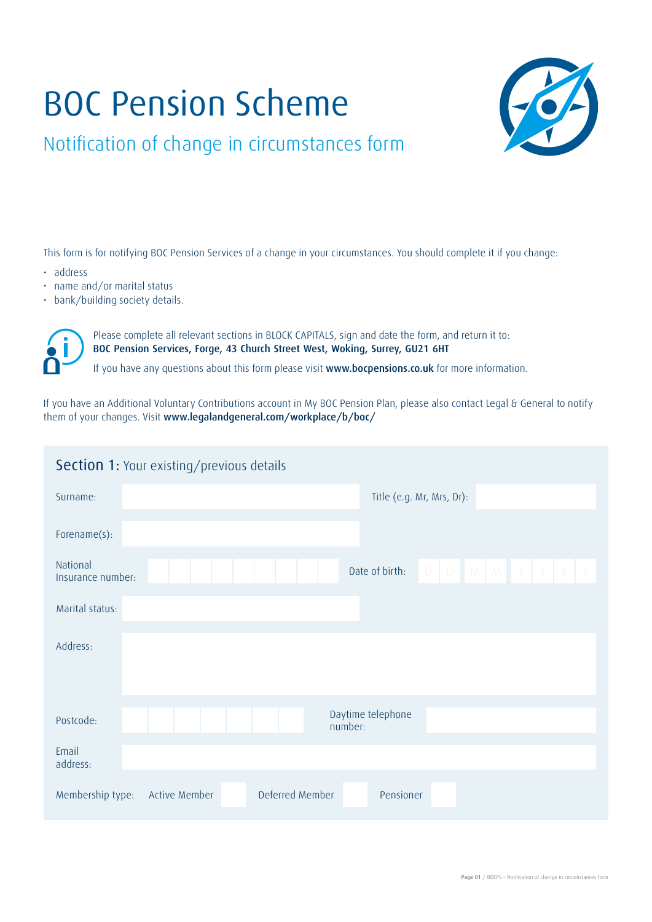# BOC Pension Scheme



Notification of change in circumstances form

This form is for notifying BOC Pension Services of a change in your circumstances. You should complete it if you change:

- address
- name and/or marital status
- bank/building society details.



Please complete all relevant sections in BLOCK CAPITALS, sign and date the form, and return it to: BOC Pension Services, Forge, 43 Church Street West, Woking, Surrey, GU21 6HT

If you have any questions about this form please visit www.bocpensions.co.uk for more information.

If you have an Additional Voluntary Contributions account in My BOC Pension Plan, please also contact Legal & General to notify them of your changes. Visit www.legalandgeneral.com/workplace/b/boc/

| <b>Section 1: Your existing/previous details</b>                                |  |  |  |  |  |  |  |  |
|---------------------------------------------------------------------------------|--|--|--|--|--|--|--|--|
| Title (e.g. Mr, Mrs, Dr):<br>Surname:                                           |  |  |  |  |  |  |  |  |
| Forename(s):                                                                    |  |  |  |  |  |  |  |  |
| National<br>$D$ $D$ $M$ $M$ $Y$ $Y$<br>Date of birth:<br>Y<br>Insurance number: |  |  |  |  |  |  |  |  |
| Marital status:                                                                 |  |  |  |  |  |  |  |  |
| Address:                                                                        |  |  |  |  |  |  |  |  |
| Daytime telephone<br>Postcode:<br>number:                                       |  |  |  |  |  |  |  |  |
| Email<br>address:                                                               |  |  |  |  |  |  |  |  |
| Deferred Member<br>Membership type:<br><b>Active Member</b><br>Pensioner        |  |  |  |  |  |  |  |  |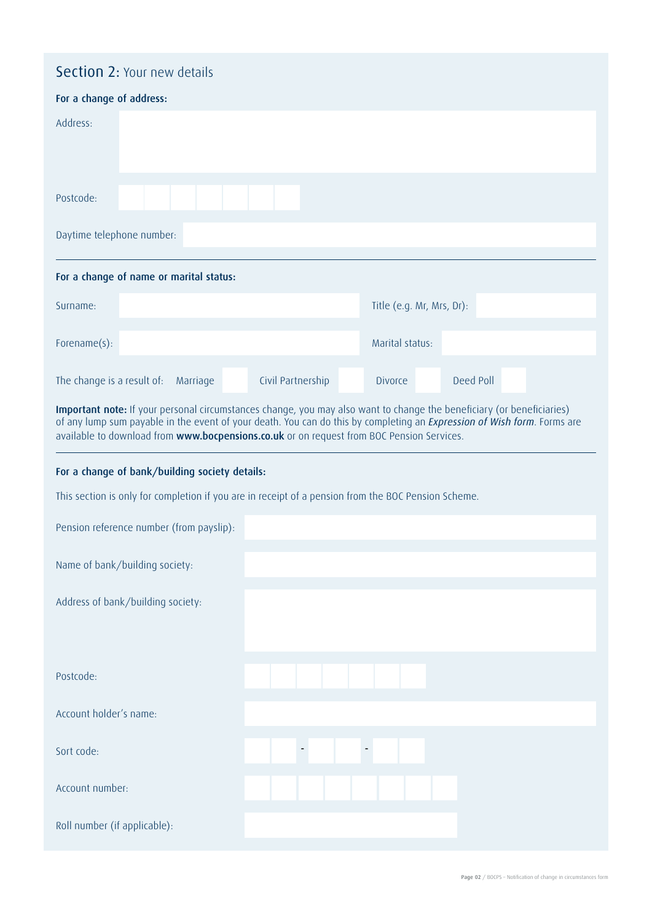# Section 2: Your new details

| For a change of address:                                                                                                                                                                                                                                                                                                                      |  |          |  |                   |  |                           |  |           |  |
|-----------------------------------------------------------------------------------------------------------------------------------------------------------------------------------------------------------------------------------------------------------------------------------------------------------------------------------------------|--|----------|--|-------------------|--|---------------------------|--|-----------|--|
| Address:                                                                                                                                                                                                                                                                                                                                      |  |          |  |                   |  |                           |  |           |  |
| Postcode:                                                                                                                                                                                                                                                                                                                                     |  |          |  |                   |  |                           |  |           |  |
| Daytime telephone number:                                                                                                                                                                                                                                                                                                                     |  |          |  |                   |  |                           |  |           |  |
| For a change of name or marital status:                                                                                                                                                                                                                                                                                                       |  |          |  |                   |  |                           |  |           |  |
| Surname:                                                                                                                                                                                                                                                                                                                                      |  |          |  |                   |  | Title (e.g. Mr, Mrs, Dr): |  |           |  |
| Forename(s):                                                                                                                                                                                                                                                                                                                                  |  |          |  |                   |  | Marital status:           |  |           |  |
| The change is a result of:                                                                                                                                                                                                                                                                                                                    |  | Marriage |  | Civil Partnership |  | <b>Divorce</b>            |  | Deed Poll |  |
| Important note: If your personal circumstances change, you may also want to change the beneficiary (or beneficiaries)<br>of any lump sum payable in the event of your death. You can do this by completing an Expression of Wish form. Forms are<br>available to download from www.bocpensions.co.uk or on request from BOC Pension Services. |  |          |  |                   |  |                           |  |           |  |

## For a change of bank/building society details:

This section is only for completion if you are in receipt of a pension from the BOC Pension Scheme.

| Pension reference number (from payslip): |  |  |  |  |  |  |  |
|------------------------------------------|--|--|--|--|--|--|--|
| Name of bank/building society:           |  |  |  |  |  |  |  |
| Address of bank/building society:        |  |  |  |  |  |  |  |
|                                          |  |  |  |  |  |  |  |
| Postcode:                                |  |  |  |  |  |  |  |
| Account holder's name:                   |  |  |  |  |  |  |  |
| Sort code:                               |  |  |  |  |  |  |  |
| Account number:                          |  |  |  |  |  |  |  |
| Roll number (if applicable):             |  |  |  |  |  |  |  |